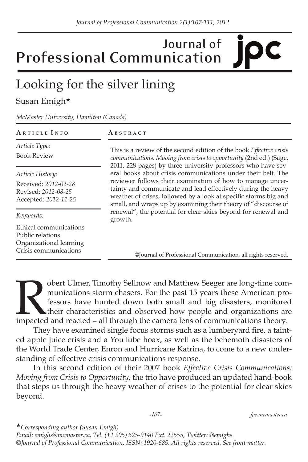## **Journal of Professional Communication**

## Looking for the silver lining

## Susan Emigh★

*McMaster University, Hamilton (Canada)*

| ARTICLE INFO                                                                                   | ABSTRACT                                                                                                                                                                                                                                                         |
|------------------------------------------------------------------------------------------------|------------------------------------------------------------------------------------------------------------------------------------------------------------------------------------------------------------------------------------------------------------------|
| Article Type:<br><b>Book Review</b>                                                            | This is a review of the second edition of the book <i>Effective crisis</i><br>communications: Moving from crisis to opportunity (2nd ed.) (Sage,<br>2011, 228 pages) by three university professors who have sev-                                                |
| Article History:                                                                               | eral books about crisis communications under their belt. The                                                                                                                                                                                                     |
| Received: 2012-02-28<br>Revised: 2012-08-25<br>Accepted: 2012-11-25                            | reviewer follows their examination of how to manage uncer-<br>tainty and communicate and lead effectively during the heavy<br>weather of crises, followed by a look at specific storms big and<br>small, and wraps up by examining their theory of "discourse of |
| Keywords:                                                                                      | renewal", the potential for clear skies beyond for renewal and<br>growth.                                                                                                                                                                                        |
| Ethical communications<br>Public relations<br>Organizational learning<br>Crisis communications | ©Journal of Professional Communication, all rights reserved.                                                                                                                                                                                                     |

Obert Ulmer, Timothy Sellnow and Matthew Seeger are long-time com-<br>munications storm chasers. For the past 15 years these American pro-<br>fessors have hunted down both small and big disasters, monitored<br>their characteristics munications storm chasers. For the past 15 years these American professors have hunted down both small and big disasters, monitored their characteristics and observed how people and organizations are impacted and reacted – all through the camera lens of communications theory.

They have examined single focus storms such as a lumberyard fire, a tainted apple juice crisis and a YouTube hoax, as well as the behemoth disasters of the World Trade Center, Enron and Hurricane Katrina, to come to a new understanding of effective crisis communications response.

In this second edition of their 2007 book *Effective Crisis Communications: Moving from Crisis to Opportunity*, the trio have produced an updated hand-book that steps us through the heavy weather of crises to the potential for clear skies beyond.

*-107- jpc.mcmaster.ca*

★*Corresponding author (Susan Emigh)* 

*Email: emighs@mcmaster.ca, Tel. (+1 905) 525-9140 Ext. 22555, Twitter: @emighs ©Journal of Professional Communication, ISSN: 1920-685. All rights reserved. See front matter.*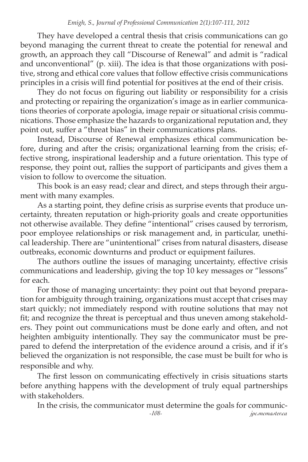They have developed a central thesis that crisis communications can go beyond managing the current threat to create the potential for renewal and growth, an approach they call "Discourse of Renewal" and admit is "radical and unconventional" (p. xiii). The idea is that those organizations with positive, strong and ethical core values that follow effective crisis communications principles in a crisis will find potential for positives at the end of their crisis.

They do not focus on figuring out liability or responsibility for a crisis and protecting or repairing the organization's image as in earlier communications theories of corporate apologia, image repair or situational crisis communications. Those emphasize the hazards to organizational reputation and, they point out, suffer a "threat bias" in their communications plans.

Instead, Discourse of Renewal emphasizes ethical communication before, during and after the crisis; organizational learning from the crisis; effective strong, inspirational leadership and a future orientation. This type of response, they point out, rallies the support of participants and gives them a vision to follow to overcome the situation.

This book is an easy read; clear and direct, and steps through their argument with many examples.

As a starting point, they define crisis as surprise events that produce uncertainty, threaten reputation or high-priority goals and create opportunities not otherwise available. They define "intentional" crises caused by terrorism, poor employee relationships or risk management and, in particular, unethical leadership. There are "unintentional" crises from natural disasters, disease outbreaks, economic downturns and product or equipment failures.

The authors outline the issues of managing uncertainty, effective crisis communications and leadership, giving the top 10 key messages or "lessons" for each.

For those of managing uncertainty: they point out that beyond preparation for ambiguity through training, organizations must accept that crises may start quickly; not immediately respond with routine solutions that may not fit; and recognize the threat is perceptual and thus uneven among stakeholders. They point out communications must be done early and often, and not heighten ambiguity intentionally. They say the communicator must be prepared to defend the interpretation of the evidence around a crisis, and if it's believed the organization is not responsible, the case must be built for who is responsible and why.

The first lesson on communicating effectively in crisis situations starts before anything happens with the development of truly equal partnerships with stakeholders.

 *-108- jpc.mcmaster.ca* In the crisis, the communicator must determine the goals for communic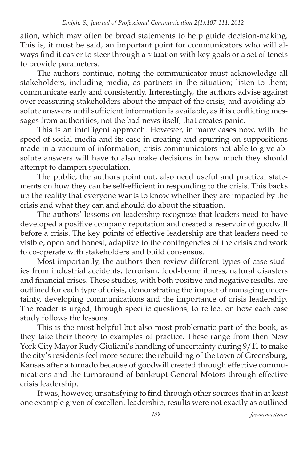ation, which may often be broad statements to help guide decision-making. This is, it must be said, an important point for communicators who will always find it easier to steer through a situation with key goals or a set of tenets to provide parameters.

The authors continue, noting the communicator must acknowledge all stakeholders, including media, as partners in the situation; listen to them; communicate early and consistently. Interestingly, the authors advise against over reassuring stakeholders about the impact of the crisis, and avoiding absolute answers until sufficient information is available, as it is conflicting messages from authorities, not the bad news itself, that creates panic.

This is an intelligent approach. However, in many cases now, with the speed of social media and its ease in creating and spurring on suppositions made in a vacuum of information, crisis communicators not able to give absolute answers will have to also make decisions in how much they should attempt to dampen speculation.

The public, the authors point out, also need useful and practical statements on how they can be self-efficient in responding to the crisis. This backs up the reality that everyone wants to know whether they are impacted by the crisis and what they can and should do about the situation.

The authors' lessons on leadership recognize that leaders need to have developed a positive company reputation and created a reservoir of goodwill before a crisis. The key points of effective leadership are that leaders need to visible, open and honest, adaptive to the contingencies of the crisis and work to co-operate with stakeholders and build consensus.

Most importantly, the authors then review different types of case studies from industrial accidents, terrorism, food-borne illness, natural disasters and financial crises. These studies, with both positive and negative results, are outlined for each type of crisis, demonstrating the impact of managing uncertainty, developing communications and the importance of crisis leadership. The reader is urged, through specific questions, to reflect on how each case study follows the lessons.

This is the most helpful but also most problematic part of the book, as they take their theory to examples of practice. These range from then New York City Mayor Rudy Giuliani's handling of uncertainty during 9/11 to make the city's residents feel more secure; the rebuilding of the town of Greensburg, Kansas after a tornado because of goodwill created through effective communications and the turnaround of bankrupt General Motors through effective crisis leadership.

It was, however, unsatisfying to find through other sources that in at least one example given of excellent leadership, results were not exactly as outlined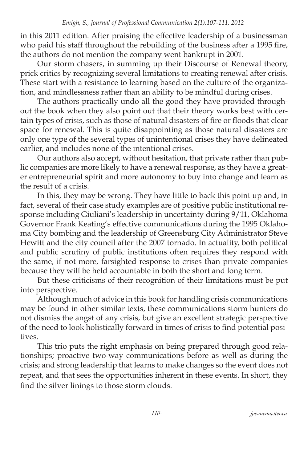in this 2011 edition. After praising the effective leadership of a businessman who paid his staff throughout the rebuilding of the business after a 1995 fire, the authors do not mention the company went bankrupt in 2001.

Our storm chasers, in summing up their Discourse of Renewal theory, prick critics by recognizing several limitations to creating renewal after crisis. These start with a resistance to learning based on the culture of the organization, and mindlessness rather than an ability to be mindful during crises.

The authors practically undo all the good they have provided throughout the book when they also point out that their theory works best with certain types of crisis, such as those of natural disasters of fire or floods that clear space for renewal. This is quite disappointing as those natural disasters are only one type of the several types of unintentional crises they have delineated earlier, and includes none of the intentional crises.

Our authors also accept, without hesitation, that private rather than public companies are more likely to have a renewal response, as they have a greater entrepreneurial spirit and more autonomy to buy into change and learn as the result of a crisis.

In this, they may be wrong. They have little to back this point up and, in fact, several of their case study examples are of positive public institutional response including Giuliani's leadership in uncertainty during 9/11, Oklahoma Governor Frank Keating's effective communications during the 1995 Oklahoma City bombing and the leadership of Greensburg City Administrator Steve Hewitt and the city council after the 2007 tornado. In actuality, both political and public scrutiny of public institutions often requires they respond with the same, if not more, farsighted response to crises than private companies because they will be held accountable in both the short and long term.

But these criticisms of their recognition of their limitations must be put into perspective.

Although much of advice in this book for handling crisis communications may be found in other similar texts, these communications storm hunters do not dismiss the angst of any crisis, but give an excellent strategic perspective of the need to look holistically forward in times of crisis to find potential positives.

This trio puts the right emphasis on being prepared through good relationships; proactive two-way communications before as well as during the crisis; and strong leadership that learns to make changes so the event does not repeat, and that sees the opportunities inherent in these events. In short, they find the silver linings to those storm clouds.